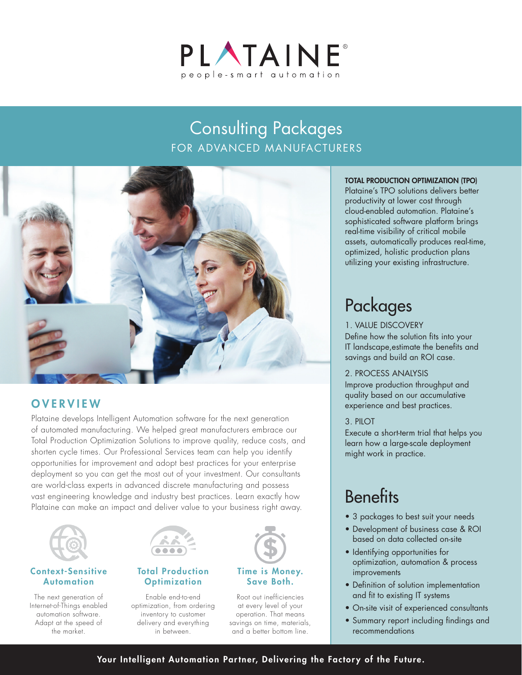

# Consulting Packages FOR ADVANCED MANUFACTURERS



# **OVERVIEW**

Plataine develops Intelligent Automation software for the next generation of automated manufacturing. We helped great manufacturers embrace our Total Production Optimization Solutions to improve quality, reduce costs, and shorten cycle times. Our Professional Services team can help you identify opportunities for improvement and adopt best practices for your enterprise deployment so you can get the most out of your investment. Our consultants are world-class experts in advanced discrete manufacturing and possess vast engineering knowledge and industry best practices. Learn exactly how Plataine can make an impact and deliver value to your business right away.



## Context-Sensitive Automation

The next generation of Internet-of-Things enabled automation software. Adapt at the speed of the market.



# Total Production **Optimization**

Enable end-to-end optimization, from ordering inventory to customer delivery and everything in between.



## Time is Money. Save Both.

Root out inefficiencies at every level of your operation. That means savings on time, materials, and a better bottom line.

### TOTAL PRODUCTION OPTIMIZATION (TPO)

Plataine's TPO solutions delivers better productivity at lower cost through cloud-enabled automation. Plataine's sophisticated software platform brings real-time visibility of critical mobile assets, automatically produces real-time, optimized, holistic production plans utilizing your existing infrastructure.

# Packages

### 1. VALUE DISCOVERY

Define how the solution fits into your IT landscape,estimate the benefits and savings and build an ROI case.

#### 2. PROCESS ANALYSIS

Improve production throughput and quality based on our accumulative experience and best practices.

# 3. PILOT

Execute a short-term trial that helps you learn how a large-scale deployment might work in practice.

# **Benefits**

- 3 packages to best suit your needs
- Development of business case & ROI based on data collected on-site
- Identifying opportunities for optimization, automation & process **improvements**
- Definition of solution implementation and fit to existing IT systems
- On-site visit of experienced consultants
- Summary report including findings and recommendations

# Your Intelligent Automation Partner, Delivering the Factory of the Future.